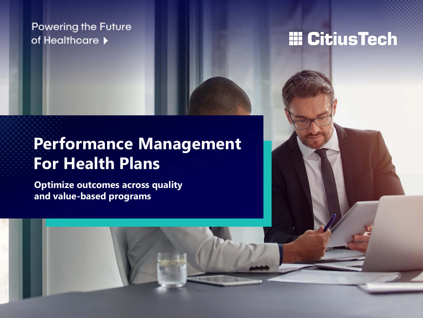## **Powering the Future** of Healthcare  $\blacktriangleright$

# **III CitiusTech**

# **Performance Management For Health Plans**

**Optimize outcomes across quality and value-based programs**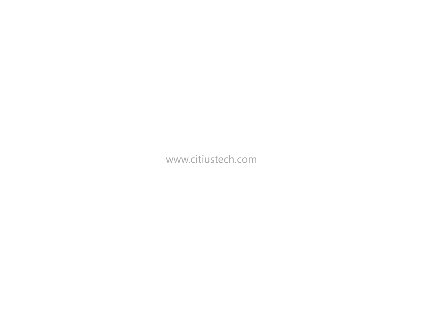www.citiustech.com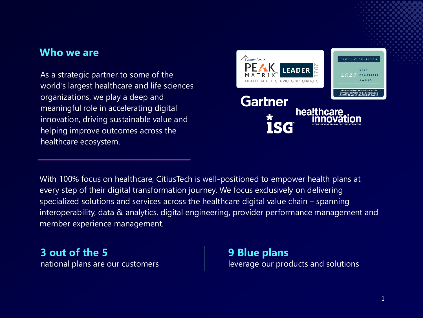## **Who we are**

As a strategic partner to some of the world's largest healthcare and life sciences organizations, we play a deep and meaningful role in accelerating digital innovation, driving sustainable value and helping improve outcomes across the healthcare ecosystem.



With 100% focus on healthcare, CitiusTech is well-positioned to empower health plans at every step of their digital transformation journey. We focus exclusively on delivering specialized solutions and services across the healthcare digital value chain – spanning interoperability, data & analytics, digital engineering, provider performance management and member experience management.

**3 out of the 5** national plans are our customers **9 Blue plans**  leverage our products and solutions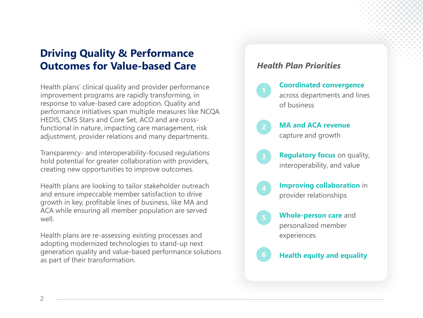## **Driving Quality & Performance Outcomes for Value-based Care**

Health plans' clinical quality and provider performance improvement programs are rapidly transforming, in response to value-based care adoption. Quality and performance initiatives span multiple measures like NCQA HEDIS, CMS Stars and Core Set, ACO and are crossfunctional in nature, impacting care management, risk adjustment, provider relations and many departments.

Transparency- and interoperability-focused regulations hold potential for greater collaboration with providers, creating new opportunities to improve outcomes.

Health plans are looking to tailor stakeholder outreach and ensure impeccable member satisfaction to drive growth in key, profitable lines of business, like MA and ACA while ensuring all member population are served well.

Health plans are re-assessing existing processes and adopting modernized technologies to stand-up next generation quality and value-based performance solutions as part of their transformation.

#### *Health Plan Priorities*

- **Coordinated convergence**  across departments and lines of business
- **MA and ACA revenue**  capture and growth
- **Regulatory focus** on quality, interoperability, and value
- **Improving collaboration** in provider relationships
- **Whole-person care** and personalized member experiences

**Health equity and equality**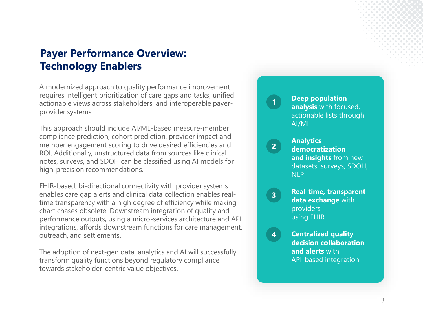## **Payer Performance Overview: Technology Enablers**

A modernized approach to quality performance improvement requires intelligent prioritization of care gaps and tasks, unified actionable views across stakeholders, and interoperable payerprovider systems.

This approach should include AI/ML-based measure-member compliance prediction, cohort prediction, provider impact and member engagement scoring to drive desired efficiencies and ROI. Additionally, unstructured data from sources like clinical notes, surveys, and SDOH can be classified using AI models for high-precision recommendations.

FHIR-based, bi-directional connectivity with provider systems enables care gap alerts and clinical data collection enables realtime transparency with a high degree of efficiency while making chart chases obsolete. Downstream integration of quality and performance outputs, using a micro-services architecture and API integrations, affords downstream functions for care management, outreach, and settlements.

The adoption of next-gen data, analytics and AI will successfully transform quality functions beyond regulatory compliance towards stakeholder-centric value objectives.

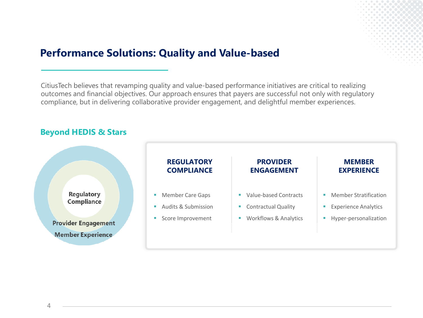## **Performance Solutions: Quality and Value-based**

CitiusTech believes that revamping quality and value-based performance initiatives are critical to realizing outcomes and financial objectives. Our approach ensures that payers are successful not only with regulatory compliance, but in delivering collaborative provider engagement, and delightful member experiences.



#### 4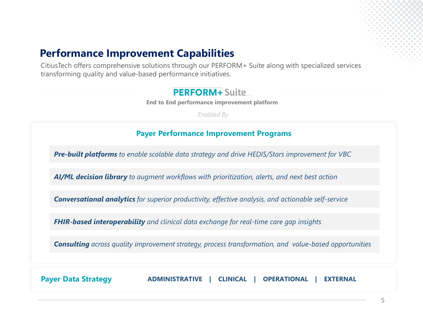## **Performance Improvement Capabilities**

CitiusTech offers comprehensive solutions through our PERFORM+ Suite along with specialized services transforming quality and value-based performance initiatives.

### **PERFORM+** Suite

**End to End performance improvement platform**

*Enabled By*

#### **Payer Performance Improvement Programs**

*Pre-built platforms to enable scalable data strategy and drive HEDIS/Stars improvement for VBC*

*AI/ML decision library to augment workflows with prioritization, alerts, and next best action*

*Conversational analytics for superior productivity, effective analysis, and actionable self-service*

*FHIR-based interoperability and clinical data exchange for real-time care gap insights*

*Consulting across quality improvement strategy, process transformation, and value-based opportunities*

**Payer Data Strategy ADMINISTRATIVE | CLINICAL | OPERATIONAL | EXTERNAL**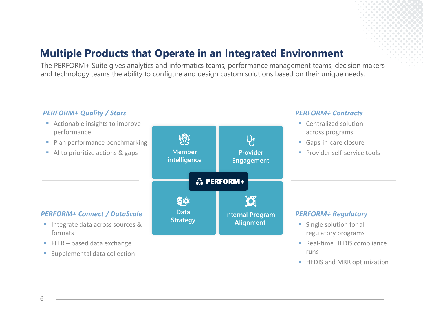## **Multiple Products that Operate in an Integrated Environment**

The PERFORM+ Suite gives analytics and informatics teams, performance management teams, decision makers and technology teams the ability to configure and design custom solutions based on their unique needs.

### *PERFORM+ Quality / Stars*

- Actionable insights to improve performance
- Plan performance benchmarking
- AI to prioritize actions & gaps



#### *PERFORM+ Contracts*

- Centralized solution across programs
- Gaps-in-care closure
- **Provider self-service tools**

#### *PERFORM+ Connect / DataScale*

- Integrate data across sources & formats
- $\blacksquare$  FHIR based data exchange
- Supplemental data collection



- Single solution for all regulatory programs
- Real-time HEDIS compliance runs
- **E** HEDIS and MRR optimization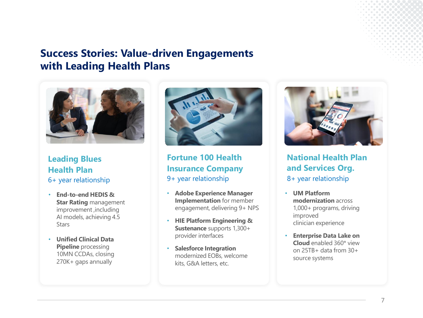## **Success Stories: Value-driven Engagements with Leading Health Plans**



**Leading Blues Health Plan** 6+ year relationship

- **End-to-end HEDIS & Star Rating** management improvement ,including AI models, achieving 4.5 **Stars**
- **Unified Clinical Data Pipeline** processing 10MN CCDAs, closing 270K+ gaps annually



**Fortune 100 Health Insurance Company**  9+ year relationship

- **Adobe Experience Manager Implementation** for member engagement, delivering 9+ NPS
- **HIE Platform Engineering & Sustenance** supports 1,300+ provider interfaces
- **Salesforce Integration**  modernized EOBs, welcome kits, G&A letters, etc.



**National Health Plan and Services Org.** 8+ year relationship

- **UM Platform modernization** across 1,000+ programs, driving improved clinician experience
- **Enterprise Data Lake on Cloud** enabled 360\* view on 25TB+ data from 30+ source systems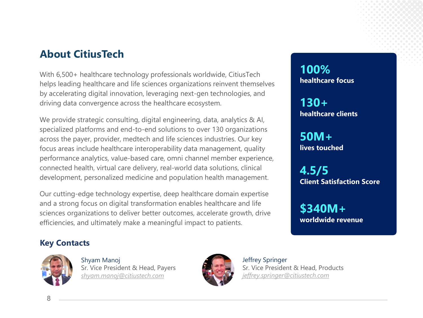## **About CitiusTech**

With 6,500+ healthcare technology professionals worldwide, CitiusTech helps leading healthcare and life sciences organizations reinvent themselves by accelerating digital innovation, leveraging next-gen technologies, and driving data convergence across the healthcare ecosystem.

We provide strategic consulting, digital engineering, data, analytics & AI, specialized platforms and end-to-end solutions to over 130 organizations across the payer, provider, medtech and life sciences industries. Our key focus areas include healthcare interoperability data management, quality performance analytics, value-based care, omni channel member experience, connected health, virtual care delivery, real-world data solutions, clinical development, personalized medicine and population health management.

Our cutting-edge technology expertise, deep healthcare domain expertise and a strong focus on digital transformation enables healthcare and life sciences organizations to deliver better outcomes, accelerate growth, drive efficiencies, and ultimately make a meaningful impact to patients.

**100% healthcare focus**

**130+ healthcare clients**

**50M+ lives touched**

**4.5/5 Client Satisfaction Score**

**\$340M+ worldwide revenue**

### **Key Contacts**



Shyam Manoj Sr. Vice President & Head, Payers *shyam.manoj@citiustech.com*



Jeffrey Springer Sr. Vice President & Head, Products *jeffrey.springer@citiustech.com*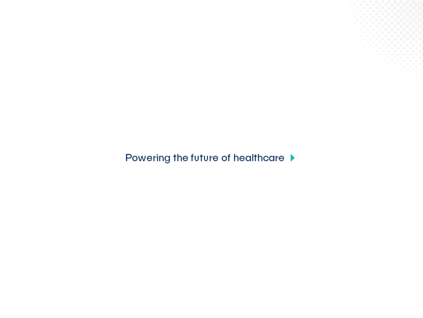Powering the future of healthcare ▶